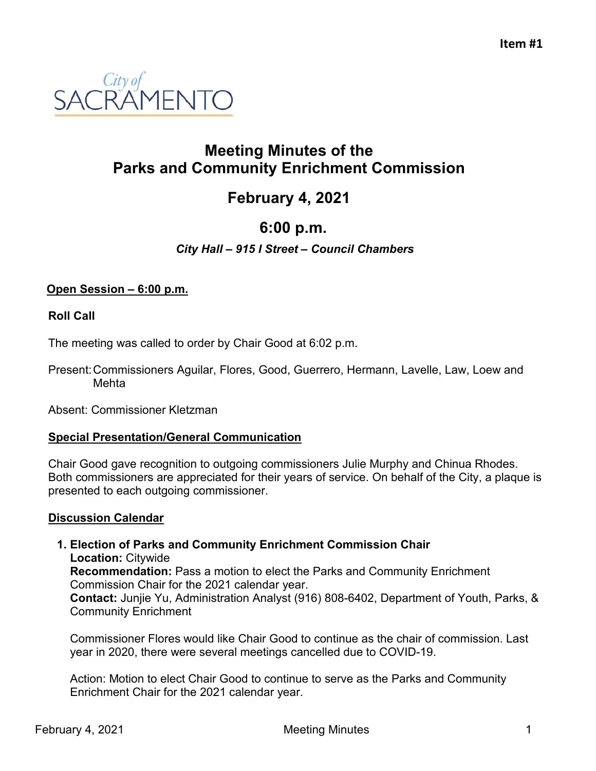

# **Meeting Minutes of the Parks and Community Enrichment Commission**

# **February 4, 2021**

# **6:00 p.m.**

# *City Hall – 915 I Street – Council Chambers*

# **Open Session – 6:00 p.m.**

## **Roll Call**

The meeting was called to order by Chair Good at 6:02 p.m.

Present:Commissioners Aguilar, Flores, Good, Guerrero, Hermann, Lavelle, Law, Loew and Mehta

Absent: Commissioner Kletzman

## **Special Presentation/General Communication**

Chair Good gave recognition to outgoing commissioners Julie Murphy and Chinua Rhodes. Both commissioners are appreciated for their years of service. On behalf of the City, a plaque is presented to each outgoing commissioner.

## **Discussion Calendar**

#### **1. Election of Parks and Community Enrichment Commission Chair Location:** Citywide **Recommendation:** Pass a motion to elect the Parks and Community Enrichment Commission Chair for the 2021 calendar year.

**Contact:** Junjie Yu, Administration Analyst (916) 808-6402, Department of Youth, Parks, & Community Enrichment

Commissioner Flores would like Chair Good to continue as the chair of commission. Last year in 2020, there were several meetings cancelled due to COVID-19.

Action: Motion to elect Chair Good to continue to serve as the Parks and Community Enrichment Chair for the 2021 calendar year.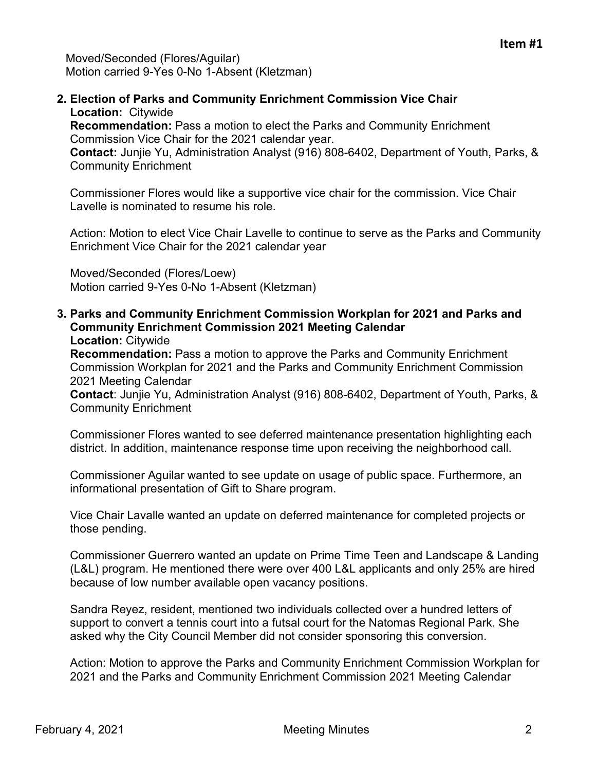**2. Election of Parks and Community Enrichment Commission Vice Chair Location:** Citywide

**Recommendation:** Pass a motion to elect the Parks and Community Enrichment Commission Vice Chair for the 2021 calendar year.

**Contact:** Junjie Yu, Administration Analyst (916) 808-6402, Department of Youth, Parks, & Community Enrichment

Commissioner Flores would like a supportive vice chair for the commission. Vice Chair Lavelle is nominated to resume his role.

Action: Motion to elect Vice Chair Lavelle to continue to serve as the Parks and Community Enrichment Vice Chair for the 2021 calendar year

Moved/Seconded (Flores/Loew) Motion carried 9-Yes 0-No 1-Absent (Kletzman)

**3. Parks and Community Enrichment Commission Workplan for 2021 and Parks and Community Enrichment Commission 2021 Meeting Calendar Location:** Citywide

**Recommendation:** Pass a motion to approve the Parks and Community Enrichment Commission Workplan for 2021 and the Parks and Community Enrichment Commission 2021 Meeting Calendar

**Contact**: Junjie Yu, Administration Analyst (916) 808-6402, Department of Youth, Parks, & Community Enrichment

Commissioner Flores wanted to see deferred maintenance presentation highlighting each district. In addition, maintenance response time upon receiving the neighborhood call.

Commissioner Aguilar wanted to see update on usage of public space. Furthermore, an informational presentation of Gift to Share program.

Vice Chair Lavalle wanted an update on deferred maintenance for completed projects or those pending.

Commissioner Guerrero wanted an update on Prime Time Teen and Landscape & Landing (L&L) program. He mentioned there were over 400 L&L applicants and only 25% are hired because of low number available open vacancy positions.

Sandra Reyez, resident, mentioned two individuals collected over a hundred letters of support to convert a tennis court into a futsal court for the Natomas Regional Park. She asked why the City Council Member did not consider sponsoring this conversion.

Action: Motion to approve the Parks and Community Enrichment Commission Workplan for 2021 and the Parks and Community Enrichment Commission 2021 Meeting Calendar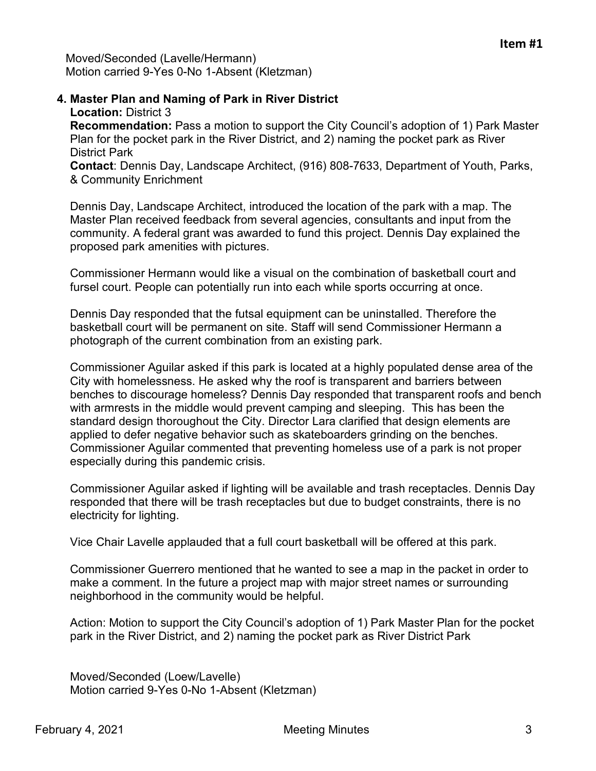Moved/Seconded (Lavelle/Hermann) Motion carried 9-Yes 0-No 1-Absent (Kletzman)

# **4. Master Plan and Naming of Park in River District Location:** District 3

**Recommendation:** Pass a motion to support the City Council's adoption of 1) Park Master Plan for the pocket park in the River District, and 2) naming the pocket park as River District Park

**Contact**: Dennis Day, Landscape Architect, (916) 808-7633, Department of Youth, Parks, & Community Enrichment

Dennis Day, Landscape Architect, introduced the location of the park with a map. The Master Plan received feedback from several agencies, consultants and input from the community. A federal grant was awarded to fund this project. Dennis Day explained the proposed park amenities with pictures.

Commissioner Hermann would like a visual on the combination of basketball court and fursel court. People can potentially run into each while sports occurring at once.

Dennis Day responded that the futsal equipment can be uninstalled. Therefore the basketball court will be permanent on site. Staff will send Commissioner Hermann a photograph of the current combination from an existing park.

Commissioner Aguilar asked if this park is located at a highly populated dense area of the City with homelessness. He asked why the roof is transparent and barriers between benches to discourage homeless? Dennis Day responded that transparent roofs and bench with armrests in the middle would prevent camping and sleeping. This has been the standard design thoroughout the City. Director Lara clarified that design elements are applied to defer negative behavior such as skateboarders grinding on the benches. Commissioner Aguilar commented that preventing homeless use of a park is not proper especially during this pandemic crisis.

Commissioner Aguilar asked if lighting will be available and trash receptacles. Dennis Day responded that there will be trash receptacles but due to budget constraints, there is no electricity for lighting.

Vice Chair Lavelle applauded that a full court basketball will be offered at this park.

Commissioner Guerrero mentioned that he wanted to see a map in the packet in order to make a comment. In the future a project map with major street names or surrounding neighborhood in the community would be helpful.

Action: Motion to support the City Council's adoption of 1) Park Master Plan for the pocket park in the River District, and 2) naming the pocket park as River District Park

Moved/Seconded (Loew/Lavelle) Motion carried 9-Yes 0-No 1-Absent (Kletzman)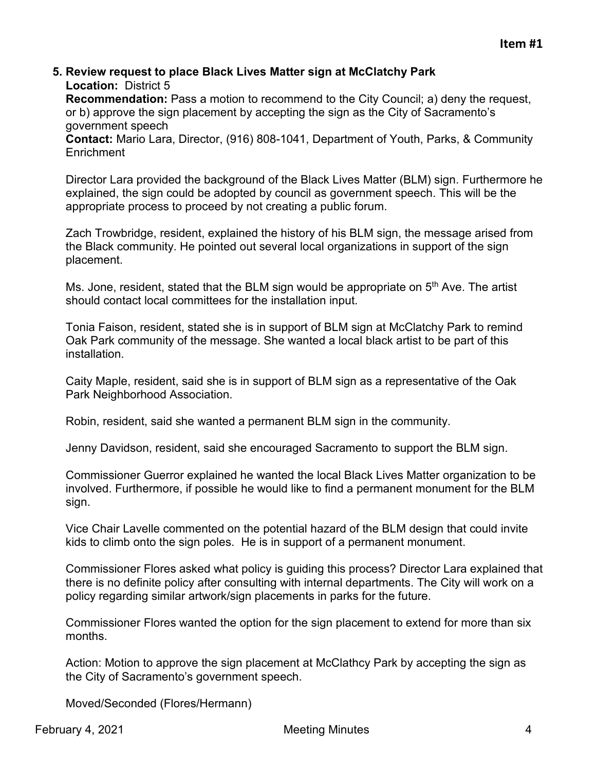#### **5. Review request to place Black Lives Matter sign at McClatchy Park Location:** District 5

**Recommendation:** Pass a motion to recommend to the City Council; a) deny the request, or b) approve the sign placement by accepting the sign as the City of Sacramento's government speech

**Contact:** Mario Lara, Director, (916) 808-1041, Department of Youth, Parks, & Community **Enrichment** 

Director Lara provided the background of the Black Lives Matter (BLM) sign. Furthermore he explained, the sign could be adopted by council as government speech. This will be the appropriate process to proceed by not creating a public forum.

Zach Trowbridge, resident, explained the history of his BLM sign, the message arised from the Black community. He pointed out several local organizations in support of the sign placement.

Ms. Jone, resident, stated that the BLM sign would be appropriate on  $5<sup>th</sup>$  Ave. The artist should contact local committees for the installation input.

Tonia Faison, resident, stated she is in support of BLM sign at McClatchy Park to remind Oak Park community of the message. She wanted a local black artist to be part of this installation.

Caity Maple, resident, said she is in support of BLM sign as a representative of the Oak Park Neighborhood Association.

Robin, resident, said she wanted a permanent BLM sign in the community.

Jenny Davidson, resident, said she encouraged Sacramento to support the BLM sign.

Commissioner Guerror explained he wanted the local Black Lives Matter organization to be involved. Furthermore, if possible he would like to find a permanent monument for the BLM sign.

Vice Chair Lavelle commented on the potential hazard of the BLM design that could invite kids to climb onto the sign poles. He is in support of a permanent monument.

Commissioner Flores asked what policy is guiding this process? Director Lara explained that there is no definite policy after consulting with internal departments. The City will work on a policy regarding similar artwork/sign placements in parks for the future.

Commissioner Flores wanted the option for the sign placement to extend for more than six months.

Action: Motion to approve the sign placement at McClathcy Park by accepting the sign as the City of Sacramento's government speech.

Moved/Seconded (Flores/Hermann)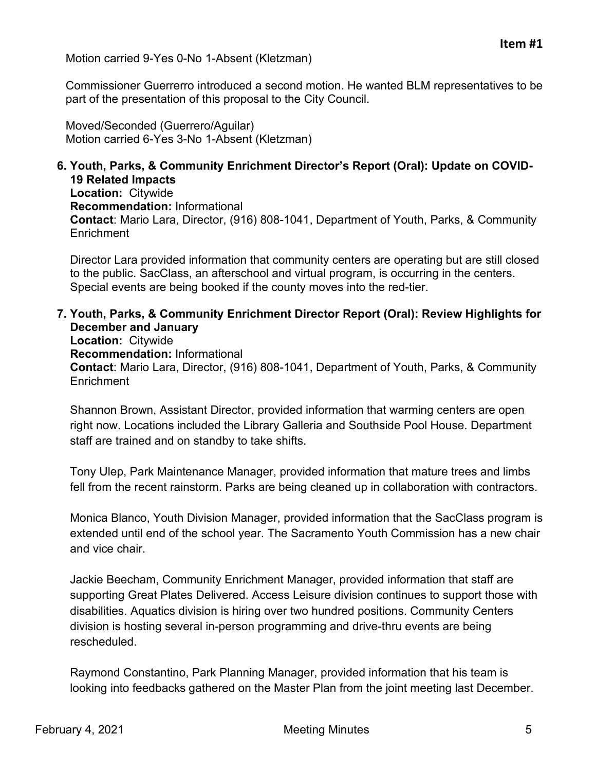Motion carried 9-Yes 0-No 1-Absent (Kletzman)

Commissioner Guerrerro introduced a second motion. He wanted BLM representatives to be part of the presentation of this proposal to the City Council.

Moved/Seconded (Guerrero/Aguilar) Motion carried 6-Yes 3-No 1-Absent (Kletzman)

## **6. Youth, Parks, & Community Enrichment Director's Report (Oral): Update on COVID-19 Related Impacts**

**Location:** Citywide **Recommendation:** Informational **Contact**: Mario Lara, Director, (916) 808-1041, Department of Youth, Parks, & Community **Enrichment** 

Director Lara provided information that community centers are operating but are still closed to the public. SacClass, an afterschool and virtual program, is occurring in the centers. Special events are being booked if the county moves into the red-tier.

**7. Youth, Parks, & Community Enrichment Director Report (Oral): Review Highlights for December and January Location:** Citywide

**Recommendation:** Informational **Contact**: Mario Lara, Director, (916) 808-1041, Department of Youth, Parks, & Community **Enrichment** 

Shannon Brown, Assistant Director, provided information that warming centers are open right now. Locations included the Library Galleria and Southside Pool House. Department staff are trained and on standby to take shifts.

Tony Ulep, Park Maintenance Manager, provided information that mature trees and limbs fell from the recent rainstorm. Parks are being cleaned up in collaboration with contractors.

Monica Blanco, Youth Division Manager, provided information that the SacClass program is extended until end of the school year. The Sacramento Youth Commission has a new chair and vice chair.

Jackie Beecham, Community Enrichment Manager, provided information that staff are supporting Great Plates Delivered. Access Leisure division continues to support those with disabilities. Aquatics division is hiring over two hundred positions. Community Centers division is hosting several in-person programming and drive-thru events are being rescheduled.

Raymond Constantino, Park Planning Manager, provided information that his team is looking into feedbacks gathered on the Master Plan from the joint meeting last December.